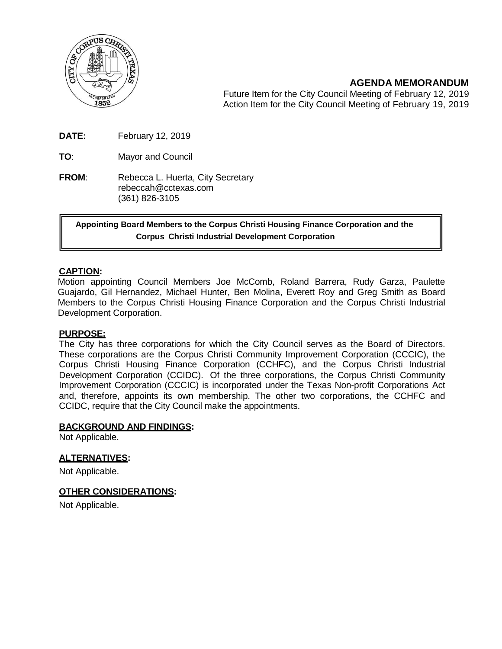

**AGENDA MEMORANDUM**

Future Item for the City Council Meeting of February 12, 2019 Action Item for the City Council Meeting of February 19, 2019

**DATE:** February 12, 2019

**TO**: Mayor and Council

**FROM:** Rebecca L. Huerta, City Secretary [rebeccah@cctexas.com](mailto:rebeccah@cctexas.com) (361) 826-3105

**Appointing Board Members to the Corpus Christi Housing Finance Corporation and the Corpus Christi Industrial Development Corporation**

### **CAPTION:**

Motion appointing Council Members Joe McComb, Roland Barrera, Rudy Garza, Paulette Guajardo, Gil Hernandez, Michael Hunter, Ben Molina, Everett Roy and Greg Smith as Board Members to the Corpus Christi Housing Finance Corporation and the Corpus Christi Industrial Development Corporation.

### **PURPOSE:**

The City has three corporations for which the City Council serves as the Board of Directors. These corporations are the Corpus Christi Community Improvement Corporation (CCCIC), the Corpus Christi Housing Finance Corporation (CCHFC), and the Corpus Christi Industrial Development Corporation (CCIDC). Of the three corporations, the Corpus Christi Community Improvement Corporation (CCCIC) is incorporated under the Texas Non-profit Corporations Act and, therefore, appoints its own membership. The other two corporations, the CCHFC and CCIDC, require that the City Council make the appointments.

### **BACKGROUND AND FINDINGS:**

Not Applicable.

### **ALTERNATIVES:**

Not Applicable.

### **OTHER CONSIDERATIONS:**

Not Applicable.